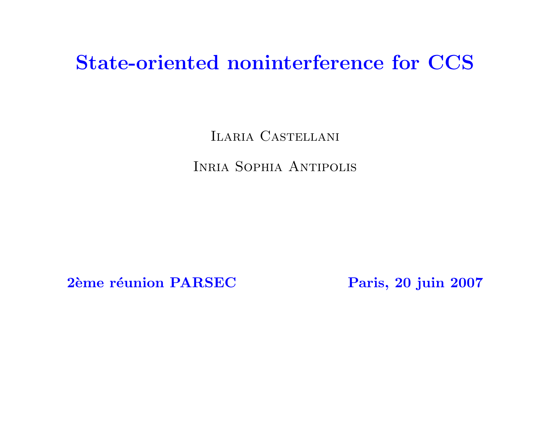# State-oriented noninterference for CCS

Ilaria Castellani

Inria Sophia Antipolis

2ème réunion PARSEC Paris, 20 juin 2007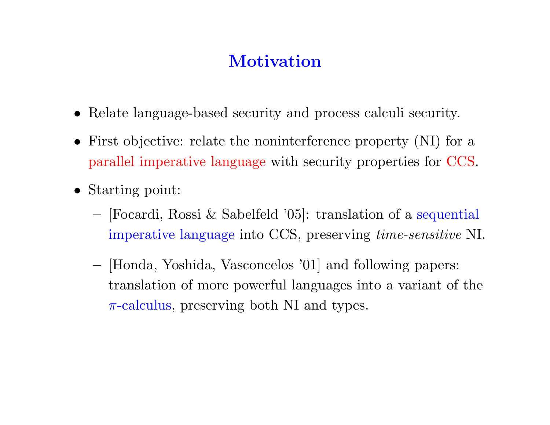# **Motivation**

- Relate language-based security and process calculi security.
- First objective: relate the noninterference property (NI) for a parallel imperative language with security properties for CCS.
- Starting point:
	- [Focardi, Rossi & Sabelfeld '05]: translation of a sequential imperative language into CCS, preserving time-sensitive NI.
	- [Honda, Yoshida, Vasconcelos '01] and following papers: translation of more powerful languages into a variant of the  $\pi$ -calculus, preserving both NI and types.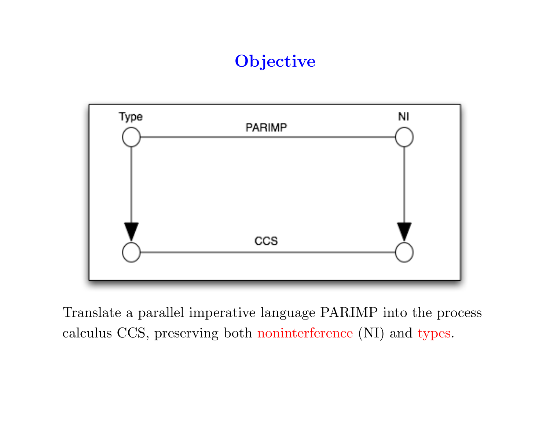# **Objective**



Translate a parallel imperative language PARIMP into the process calculus CCS, preserving both noninterference (NI) and types.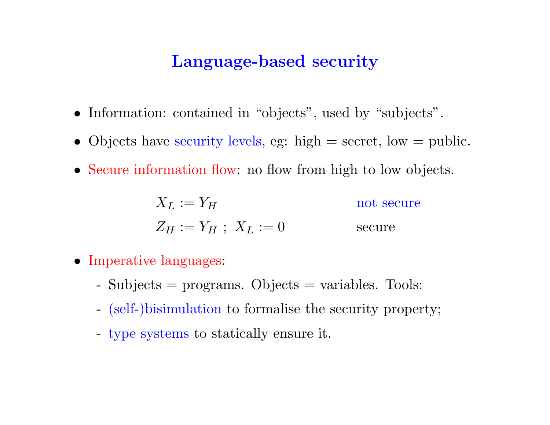# Language-based security

- Information: contained in "objects", used by "subjects".
- Objects have security levels, eg: high  $=$  secret, low  $=$  public.
- Secure information flow: no flow from high to low objects.

$$
X_L := Y_H
$$
 not secure  

$$
Z_H := Y_H ; X_L := 0
$$
 secure secure

- Imperative languages:
	- Subjects = programs. Objects = variables. Tools:
	- (self-)bisimulation to formalise the security property;
	- type systems to statically ensure it.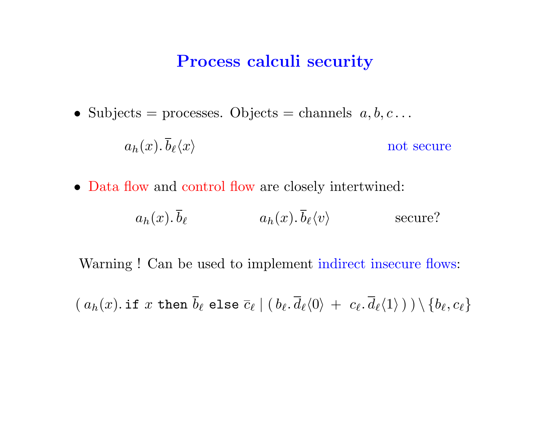#### Process calculi security

• Subjects = processes. Objects = channels  $a, b, c \ldots$ 

$$
a_h(x).\overline{b}_\ell\langle x\rangle
$$
 not secure

• Data flow and control flow are closely intertwined:

$$
a_h(x)
$$
.  $\overline{b}_\ell$  \t\t  $a_h(x)$ .  $\overline{b}_\ell\langle v\rangle$  \t\t  $\text{secure?}$ 

Warning ! Can be used to implement indirect insecure flows:

 $(a_h(x).$  if  $x$  then  $b_\ell$  else  $\overline{c}_\ell \mid (\, b_\ell, d_\ell\langle 0 \rangle \, + \, \, c_\ell, d_\ell\langle 1 \rangle \,) \setminus \{b_\ell, c_\ell\}$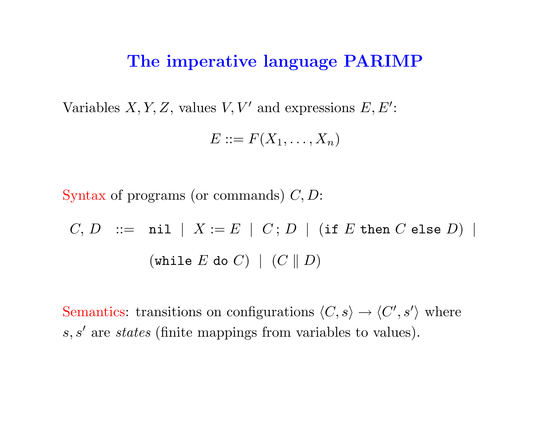#### The imperative language PARIMP

Variables X, Y, Z, values V, V' and expressions  $E, E'$ :

$$
E ::= F(X_1, \ldots, X_n)
$$

Syntax of programs (or commands)  $C, D$ :

$$
C, D \ ::= \ \texttt{nil} \ | \ X := E \ | \ C; D \ | \ (\texttt{if} \ E \ \texttt{then} \ C \ \texttt{else} \ D) \ |
$$
\n
$$
(\texttt{while} \ E \ \texttt{do} \ C) \ | \ (C \ \| D)
$$

Semantics: transitions on configurations  $\langle C, s \rangle \rightarrow \langle C', s' \rangle$  where  $s, s'$  are states (finite mappings from variables to values).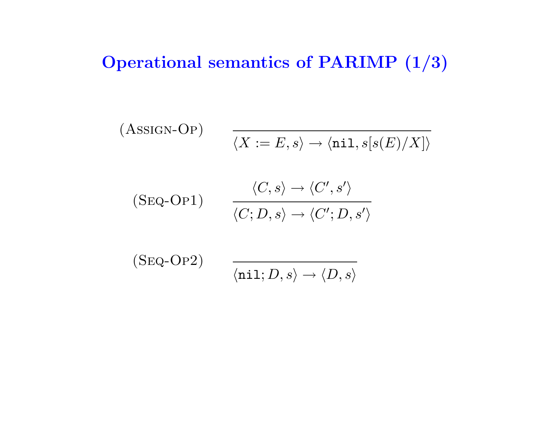# Operational semantics of PARIMP (1/3)

(ASSIGN-OP)  
\n
$$
\overline{\langle X := E, s \rangle \to \langle \text{nil}, s[s(E)/X] \rangle}
$$
\n
$$
\overline{\langle \text{Seq-OP1} \rangle}
$$
\n
$$
\overline{\langle C, S \rangle \to \langle C', s' \rangle}
$$
\n
$$
\overline{\langle C, D, s \rangle \to \langle C'; D, s' \rangle}
$$
\n
$$
\overline{\langle \text{Seq-OP2} \rangle}
$$

 $\langle \texttt{nil} ; D, s \rangle \rightarrow \langle D, s \rangle$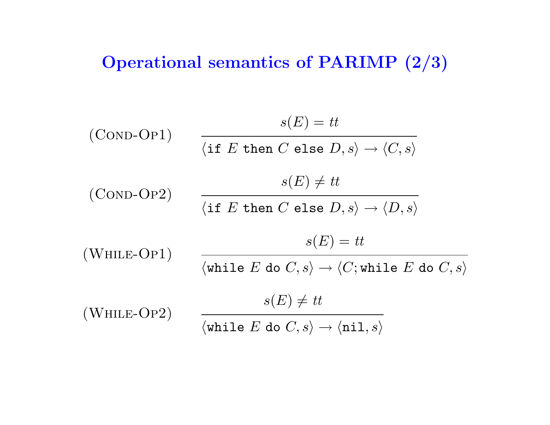# Operational semantics of PARIMP (2/3)

(COND-OP1)

\n
$$
\frac{s(E) = tt}{\langle \text{if } E \text{ then } C \text{ else } D, s \rangle \rightarrow \langle C, s \rangle}
$$
\n(COND-OP2)

\n
$$
\frac{s(E) \neq tt}{\langle \text{if } E \text{ then } C \text{ else } D, s \rangle \rightarrow \langle D, s \rangle}
$$
\n(White-OP1)

\n
$$
\frac{s(E) = tt}{\langle \text{while } E \text{ do } C, s \rangle \rightarrow \langle C; \text{while } E \text{ do } C, s \rangle}
$$
\n(White-OP2)

\n
$$
\frac{s(E) \neq tt}{\langle \text{while } E \text{ do } C, s \rangle \rightarrow \langle n11, s \rangle}
$$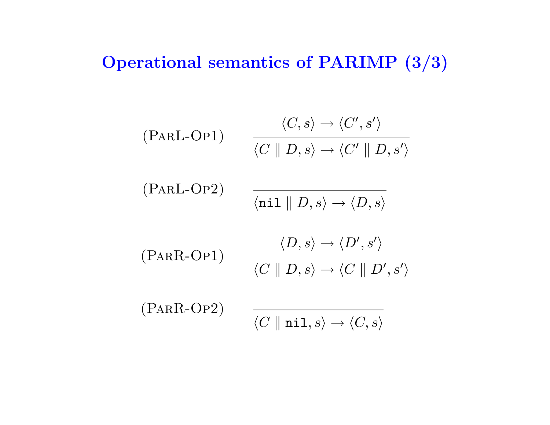# Operational semantics of PARIMP (3/3)

$$
\begin{array}{cc}\n\langle P \text{ARL-OP1} \rangle & \frac{\langle C, s \rangle \to \langle C', s' \rangle}{\langle C \parallel D, s \rangle \to \langle C' \parallel D, s' \rangle} \\
\langle P \text{ARL-OP2} \rangle & \frac{\langle \text{nil} \parallel D, s \rangle \to \langle D, s \rangle}{\langle \text{nil} \parallel D, s \rangle \to \langle D', s' \rangle} \\
\langle P \text{ARR-OP1} \rangle & \frac{\langle D, s \rangle \to \langle D', s' \rangle}{\langle C \parallel D, s \rangle \to \langle C \parallel D', s' \rangle} \\
\langle P \text{ARR-OP2} \rangle & \frac{\langle C \parallel \text{nil}, s \rangle \to \langle C, s \rangle}{\langle C \parallel \text{nil}, s \rangle \to \langle C, s \rangle}\n\end{array}
$$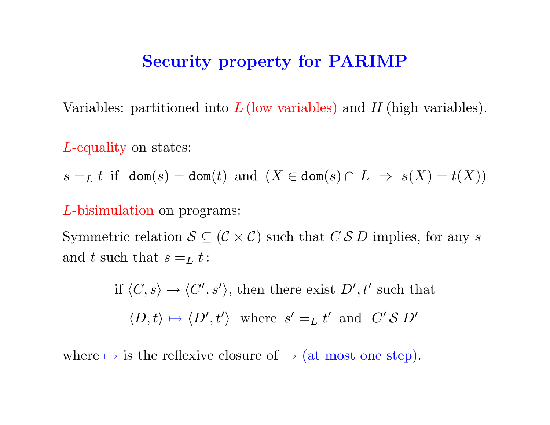### Security property for PARIMP

Variables: partitioned into  $L$  (low variables) and  $H$  (high variables).

L-equality on states:

 $s =_L t$  if dom(s) = dom(t) and  $(X \in \text{dom}(s) \cap L \Rightarrow s(X) = t(X))$ 

#### L-bisimulation on programs:

Symmetric relation  $S \subseteq (\mathcal{C} \times \mathcal{C})$  such that  $C S D$  implies, for any s and t such that  $s =_L t$ :

> if  $\langle C, s \rangle \rightarrow \langle C', s' \rangle$ , then there exist  $D', t'$  such that  $\langle D, t \rangle \mapsto \langle D', t' \rangle$  where  $s' =_L t'$  and  $C' S D'$

where  $\mapsto$  is the reflexive closure of  $\rightarrow$  (at most one step).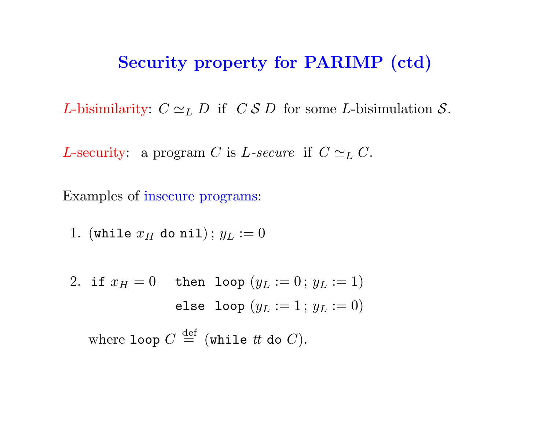## Security property for PARIMP (ctd)

*L*-bisimilarity:  $C \simeq_L D$  if  $C S D$  for some *L*-bisimulation S.

L-security: a program C is L-secure if  $C \simeq_L C$ .

Examples of insecure programs:

1. (while 
$$
x_H
$$
 do nil);  $y_L := 0$ 

2. if 
$$
x_H = 0
$$
 then loop  $(y_L := 0; y_L := 1)$   
else loop  $(y_L := 1; y_L := 0)$   
where loop  $C \stackrel{\text{def}}{=} (\text{while } t \text{ do } C).$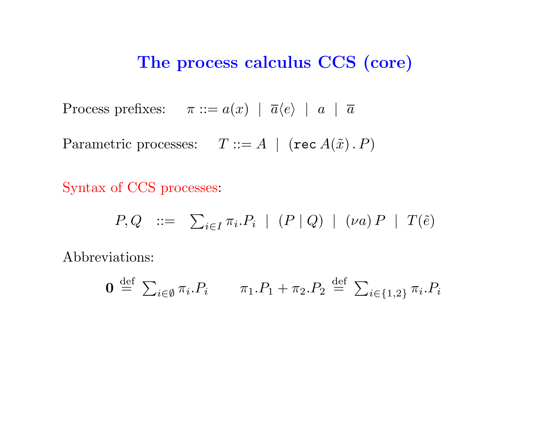### The process calculus CCS (core)

Process prefixes:  $\pi ::= a(x) | \overline{a} \langle e \rangle | a | \overline{a}$ 

Parametric processes:  $T ::= A \mid (\text{rec } A(\tilde{x}), P)$ 

Syntax of CCS processes:

$$
P, Q \quad ::= \quad \sum_{i \in I} \pi_i P_i \mid (P \mid Q) \mid (\nu a) P \mid T(\tilde{e})
$$

Abbreviations:

$$
\mathbf{0} \stackrel{\text{def}}{=} \sum_{i \in \emptyset} \pi_i P_i \qquad \pi_1 P_1 + \pi_2 P_2 \stackrel{\text{def}}{=} \sum_{i \in \{1,2\}} \pi_i P_i
$$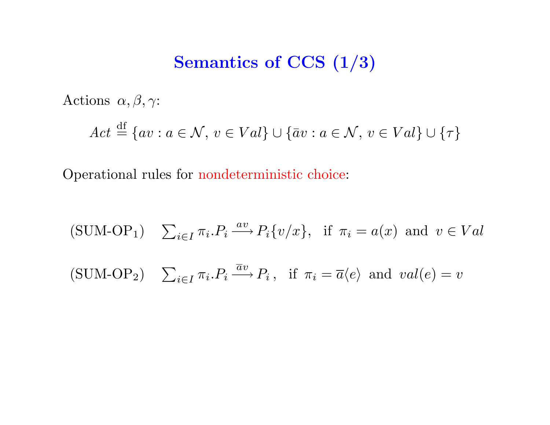# Semantics of CCS  $(1/3)$

Actions  $\alpha, \beta, \gamma$ :

$$
Act \stackrel{\text{df}}{=} \{av : a \in \mathcal{N}, v \in Val\} \cup \{\bar{a}v : a \in \mathcal{N}, v \in Val\} \cup \{\tau\}
$$

Operational rules for nondeterministic choice:

(SUM-OP<sub>1</sub>) 
$$
\sum_{i \in I} \pi_i P_i \xrightarrow{av} P_i \{v/x\}
$$
, if  $\pi_i = a(x)$  and  $v \in Val$   
(SUM-OP<sub>2</sub>)  $\sum_{i \in I} \pi_i P_i \xrightarrow{\overline{a}v} P_i$ , if  $\pi_i = \overline{a} \langle e \rangle$  and  $val(e) = v$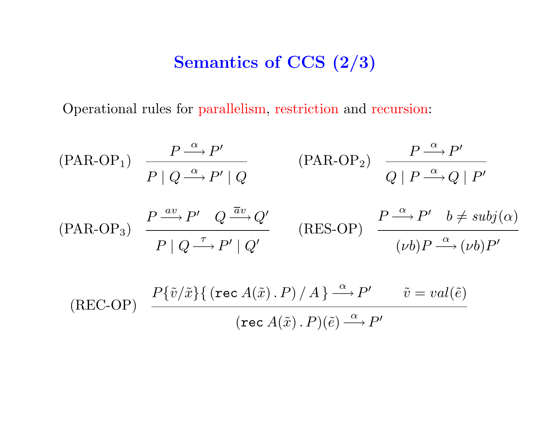# Semantics of CCS (2/3)

Operational rules for parallelism, restriction and recursion:

$$
\begin{array}{ll}\n\text{(PAR-OP)} & \frac{P \xrightarrow{\alpha} P'}{P \mid Q \xrightarrow{\alpha} P' \mid Q} & \text{(PAR-OP)} & \frac{P \xrightarrow{\alpha} P'}{Q \mid P \xrightarrow{\alpha} Q \mid P'} \\
\text{(PAR-OP)} & \frac{P \xrightarrow{av} P'}{P \mid Q \xrightarrow{\pi} P'} & Q \xrightarrow{\overline{a}v} Q' \\
\text{(PAR-OP)} & \frac{P \xrightarrow{av} P' \mid Q'}{P \mid Q \xrightarrow{\pi} P' \mid Q'} & \text{(RES-OP)} & \frac{P \xrightarrow{\alpha} P' \quad b \neq subj(\alpha)}{(vb)P \xrightarrow{\alpha} (vb)P'} \\
\text{(REC-OP)} & \frac{P \{\tilde{v}/\tilde{x}\} \{ (\text{rec } A(\tilde{x}) \cdot P) \mid A \} \xrightarrow{\alpha} P'}{(\text{rec } A(\tilde{x}) \cdot P)(\tilde{e}) \xrightarrow{\alpha} P'} & \tilde{v} = val(\tilde{e}) \\
\end{array}
$$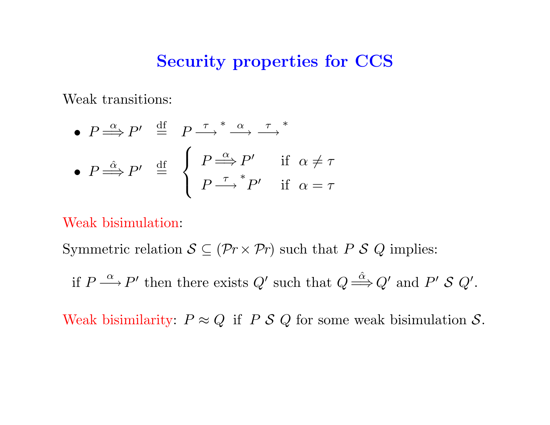#### Security properties for CCS

Weak transitions:

• 
$$
P \stackrel{\alpha}{\Longrightarrow} P' \stackrel{\text{df}}{=} P \stackrel{\tau}{\Longrightarrow}^* \stackrel{\alpha}{\longrightarrow} \stackrel{\tau}{\longrightarrow}^*
$$
  
•  $P \stackrel{\hat{\alpha}}{\Longrightarrow} P' \stackrel{\text{df}}{=} \begin{cases} P \stackrel{\alpha}{\Longrightarrow} P' & \text{if } \alpha \neq \tau \\ P \stackrel{\tau}{\Longrightarrow}^* P' & \text{if } \alpha = \tau \end{cases}$ 

Weak bisimulation:

Symmetric relation  $S \subseteq (\mathcal{P}_r \times \mathcal{P}_r)$  such that P S Q implies:

if  $P \stackrel{\alpha}{\longrightarrow} P'$  then there exists  $Q'$  such that  $Q \stackrel{\hat{\alpha}}{\Longrightarrow} Q'$  and  $P' S Q'$ .

Weak bisimilarity:  $P \approx Q$  if  $P S Q$  for some weak bisimulation  $S$ .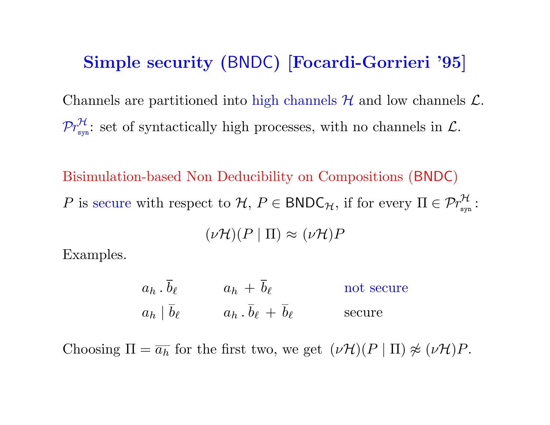### Simple security (BNDC) [Focardi-Gorrieri '95]

Channels are partitioned into high channels  $H$  and low channels  $L$ .  $\mathcal{P}r_{\rm sw}^{\mathcal{H}}$  $\mathcal{L}_{\text{syn}}^{\mathcal{H}}$ : set of syntactically high processes, with no channels in  $\mathcal{L}$ .

Bisimulation-based Non Deducibility on Compositions (BNDC) P is secure with respect to  $H, P \in BNDC_{\mathcal{H}},$  if for every  $\Pi \in \mathcal{P}r_{\text{svr}}^{\mathcal{H}}$ syn :  $(\nu\mathcal{H})(P | \Pi) \approx (\nu\mathcal{H})P$ 

Examples.

$$
a_h \cdot \overline{b}_\ell
$$
  $a_h + \overline{b}_\ell$  not secure  
\n $a_h | \overline{b}_\ell$   $a_h \cdot \overline{b}_\ell + \overline{b}_\ell$  secure  
\nsecure

Choosing  $\Pi = \overline{a_h}$  for the first two, we get  $(\nu \mathcal{H})(P | \Pi) \not\approx (\nu \mathcal{H})P$ .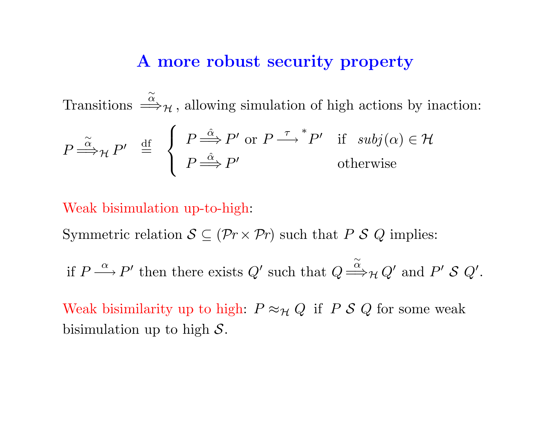#### A more robust security property

Transitions  $\stackrel{\sim}{\Longrightarrow}_{\mathcal{H}}$ , allowing simulation of high actions by inaction:

$$
P \stackrel{\widetilde{\alpha}}{\Longrightarrow} {}_{\mathcal{H}} P' \stackrel{\text{df}}{=} \begin{cases} P \stackrel{\widehat{\alpha}}{\Longrightarrow} P' \text{ or } P \stackrel{\tau}{\longrightarrow} {}^{*}P' & \text{if } subj(\alpha) \in \mathcal{H} \\ P \stackrel{\widehat{\alpha}}{\Longrightarrow} P' & \text{otherwise} \end{cases}
$$

#### Weak bisimulation up-to-high:

Symmetric relation  $S \subseteq (\mathcal{P}_r \times \mathcal{P}_r)$  such that P S Q implies:

if  $P \stackrel{\alpha}{\longrightarrow} P'$  then there exists  $Q'$  such that  $Q$  $\stackrel{\sim}{\Longrightarrow}_{\mathcal{H}} Q'$  and  $P'$  S  $Q'$ .

Weak bisimilarity up to high:  $P \approx_{\mathcal{H}} Q$  if P S Q for some weak bisimulation up to high  $S$ .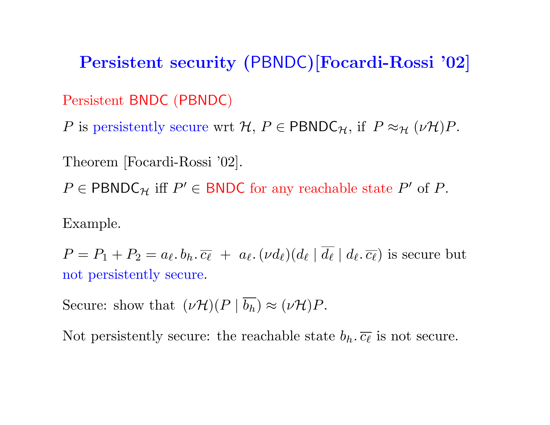Persistent security (PBNDC)[Focardi-Rossi '02] Persistent BNDC (PBNDC) P is persistently secure wrt H,  $P \in \text{PBNDC}_{\mathcal{H}}$ , if  $P \approx_{\mathcal{H}} (\nu \mathcal{H})P$ .

Theorem [Focardi-Rossi '02].  $P \in \text{PBNDC}_{\mathcal{H}}$  iff  $P' \in \text{BNDC}$  for any reachable state  $P'$  of  $P$ .

Example.

 $P = P_1 + P_2 = a_{\ell} \cdot b_h \cdot \overline{c_{\ell}} + a_{\ell} \cdot (\nu d_{\ell}) (d_{\ell} \mid d_{\ell} \mid d_{\ell} \cdot \overline{c_{\ell}})$  is secure but not persistently secure.

Secure: show that  $(\nu \mathcal{H})(P | \overline{b_h}) \approx (\nu \mathcal{H})P$ .

Not persistently secure: the reachable state  $b_h$ .  $\overline{c_\ell}$  is not secure.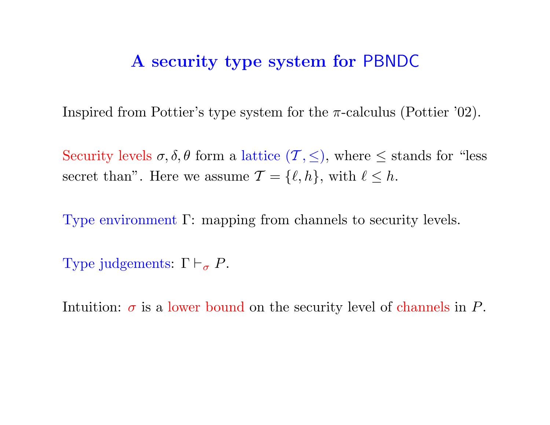#### A security type system for PBNDC

Inspired from Pottier's type system for the  $\pi$ -calculus (Pottier '02).

Security levels  $\sigma$ ,  $\delta$ ,  $\theta$  form a lattice  $(\mathcal{T}, \leq)$ , where  $\leq$  stands for "less" secret than". Here we assume  $\mathcal{T} = \{\ell, h\}$ , with  $\ell \leq h$ .

Type environment Γ: mapping from channels to security levels.

Type judgements:  $\Gamma \vdash_{\sigma} P$ .

Intuition:  $\sigma$  is a lower bound on the security level of channels in P.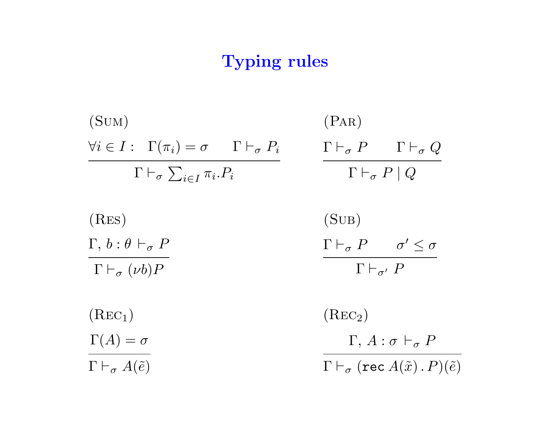# Typing rules

| (SUM)                                                                        | (PAR)                                                                       |
|------------------------------------------------------------------------------|-----------------------------------------------------------------------------|
| $\forall i \in I : \Gamma(\pi_i) = \sigma \qquad \Gamma \vdash_{\sigma} P_i$ | $\Gamma \vdash_{\sigma} P \qquad \Gamma \vdash_{\sigma} Q$                  |
| $\Gamma \vdash_{\sigma} \sum_{i \in I} \pi_i P_i$                            | $\Gamma \vdash_{\sigma} P \mid Q$                                           |
| (RES)                                                                        | (SUB)                                                                       |
| $\Gamma, b : \theta \vdash_{\sigma} P$                                       | $\Gamma \vdash_{\sigma} P \qquad \sigma' \leq \sigma$                       |
| $\Gamma \vdash_{\sigma} (\nu b)P$                                            | $\Gamma\vdash_{\sigma'} P$                                                  |
|                                                                              |                                                                             |
| (Rec <sub>1</sub> )                                                          | (Rec <sub>2</sub> )                                                         |
| $\Gamma(A) = \sigma$                                                         | $\Gamma, A: \sigma \vdash_{\sigma} P$                                       |
| $\Gamma \vdash_{\sigma} A(\tilde{e})$                                        | $\Gamma \vdash_{\sigma} (\texttt{rec}~A(\tilde{x})\mathbin{.}P)(\tilde{e})$ |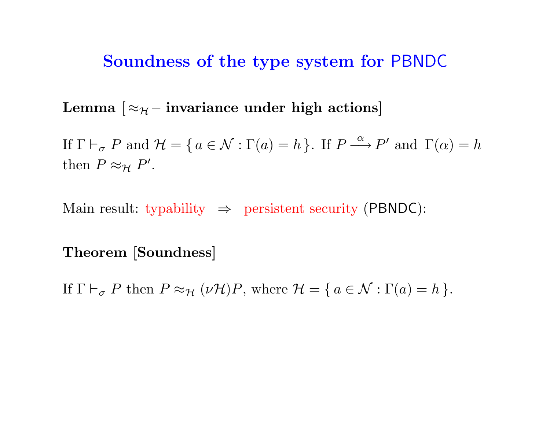#### Soundness of the type system for PBNDC

Lemma  $\lceil \approx_{\mathcal{H}}$  – invariance under high actions

If  $\Gamma \vdash_{\sigma} P$  and  $\mathcal{H} = \{ a \in \mathcal{N} : \Gamma(a) = h \}$ . If  $P \stackrel{\alpha}{\longrightarrow} P'$  and  $\Gamma(\alpha) = h$ then  $P \approx_{\mathcal{H}} P'$ .

Main result: typability  $\Rightarrow$  persistent security (PBNDC):

Theorem [Soundness]

If  $\Gamma \vdash_{\sigma} P$  then  $P \approx_{\mathcal{H}} (\nu \mathcal{H})P$ , where  $\mathcal{H} = \{ a \in \mathcal{N} : \Gamma(a) = h \}.$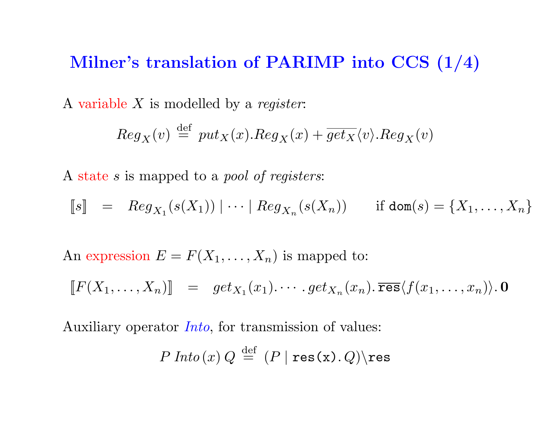## Milner's translation of PARIMP into CCS (1/4)

A variable  $X$  is modelled by a register:

$$
Reg_X(v) \stackrel{\text{def}}{=} put_X(x). Reg_X(x) + \overline{get_X}\langle v \rangle. Reg_X(v)
$$

A state s is mapped to a pool of registers:

$$
\llbracket s \rrbracket = Reg_{X_1}(s(X_1)) \mid \dots \mid Reg_{X_n}(s(X_n)) \quad \text{if } \text{dom}(s) = \{X_1, \dots, X_n\}
$$

An expression  $E = F(X_1, \ldots, X_n)$  is mapped to:

$$
[[F(X_1,\ldots,X_n)] = get_{X_1}(x_1)\cdots.get_{X_n}(x_n).\overline{\text{res}}\langle f(x_1,\ldots,x_n)\rangle. \mathbf{0}
$$

Auxiliary operator Into, for transmission of values:

$$
P \, \text{Into} (x) \, Q \, \stackrel{\text{def}}{=} \, (P \, | \, \text{res}(x) \, . \, Q) \backslash \text{res}
$$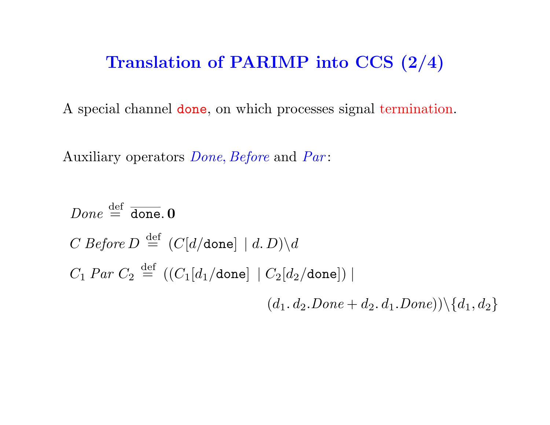# Translation of PARIMP into CCS (2/4)

A special channel done, on which processes signal termination.

Auxiliary operators *Done*, *Before* and *Par*:

*Done* 
$$
\stackrel{\text{def}}{=} \overline{\text{done}} \cdot \textbf{0}
$$
  
\n*C Before D*  $\stackrel{\text{def}}{=} (C[d/\text{done}] | d.D) \setminus d$   
\n*C<sub>1</sub> Par C<sub>2</sub>  $\stackrel{\text{def}}{=} ((C_1[d_1/\text{done}] | C_2[d_2/\text{done}]) |$   
\n(*d<sub>1</sub>*. *d<sub>2</sub>*. *Done* + *d<sub>2</sub>*. *d<sub>1</sub>*. *Done*)) \setminus {*d<sub>1</sub>*, *d<sub>2</sub>*}*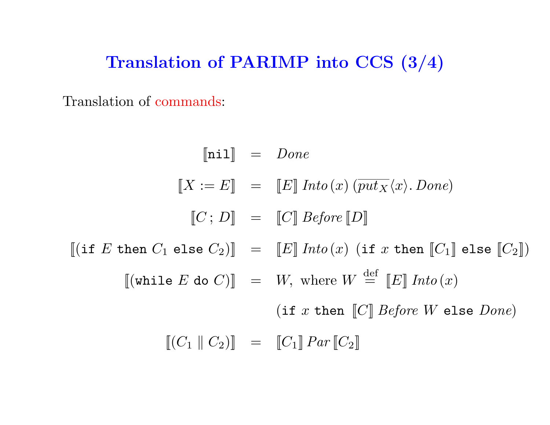# Translation of PARIMP into CCS (3/4)

Translation of commands:

$$
\begin{aligned}\n\llbracket \text{nil} \rrbracket &= \text{ \textit{Done}} \\
\llbracket X := E \rrbracket &= \llbracket E \rrbracket \text{ \textit{Into}}(x) \left( \overline{\textit{put}}_X \langle x \rangle \ldotp \textit{Done} \right) \\
\llbracket C : D \rrbracket &= \llbracket C \rrbracket \text{ \textit{Before}} \llbracket D \rrbracket \\
\llbracket (\text{if } E \text{ then } C_1 \text{ else } C_2) \rrbracket &= \llbracket E \rrbracket \text{ \textit{Into}}(x) \text{ (if } x \text{ then } \llbracket C_1 \rrbracket \text{ else } \llbracket C_2 \rrbracket) \\
\llbracket (\text{while } E \text{ do } C) \rrbracket &= W, \text{ where } W \stackrel{\text{def}}{=} \llbracket E \rrbracket \text{ \textit{Into}}(x) \\
\llbracket (C_1 \parallel C_2) \rrbracket &= \llbracket C_1 \rrbracket \text{ \textit{Par}} \llbracket C_2 \rrbracket\n\end{aligned}
$$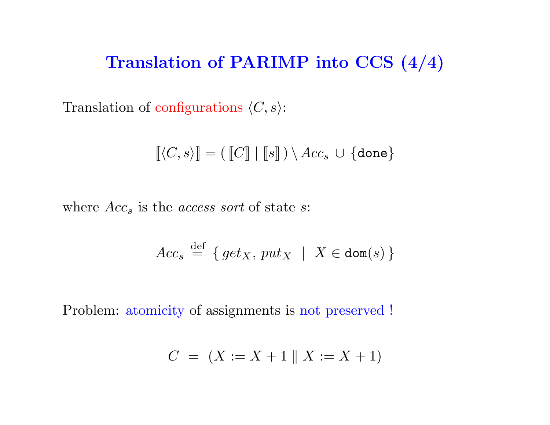### Translation of PARIMP into CCS (4/4)

Translation of configurations  $\langle C, s \rangle$ :

$$
[\![\langle C,s\rangle]\!]=([\![C]\!]\mid [\![s]\!])\setminus Acc_s\,\cup\,\{\text{done}\}
$$

where  $Acc<sub>s</sub>$  is the *access sort* of state *s*:

$$
Acc_s \stackrel{\text{def}}{=} \{ get_X, put_X \mid X \in \text{dom}(s) \}
$$

Problem: atomicity of assignments is not preserved !

$$
C = (X := X + 1 || X := X + 1)
$$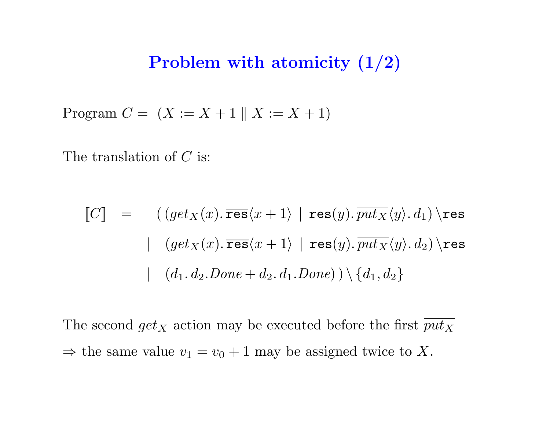### Problem with atomicity (1/2)

Program  $C = (X := X + 1 || X := X + 1)$ 

The translation of  $C$  is:

$$
\begin{array}{lll}\n\llbracket C \rrbracket & = & \left( \left( \text{get}_X(x). \overline{\text{res}} \langle x+1 \rangle \mid \text{res}(y). \overline{\text{put}_X} \langle y \rangle. \overline{d_1} \right) \setminus \text{res} \\
& & \mid & \left( \text{get}_X(x). \overline{\text{res}} \langle x+1 \rangle \mid \text{res}(y). \overline{\text{put}_X} \langle y \rangle. \overline{d_2} \right) \setminus \text{res} \\
& & \mid & \left( d_1. d_2. \text{Done} + d_2. d_1. \text{Done} \right) \setminus \{ d_1, d_2 \}\n\end{array}
$$

The second  $get_X$  action may be executed before the first  $\overline{put_X}$  $\Rightarrow$  the same value  $v_1 = v_0 + 1$  may be assigned twice to X.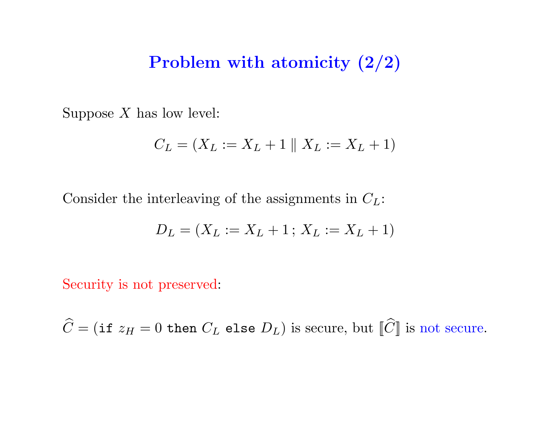### Problem with atomicity (2/2)

Suppose  $X$  has low level:

$$
C_L = (X_L := X_L + 1 \parallel X_L := X_L + 1)
$$

Consider the interleaving of the assignments in  $C_L$ :

$$
D_L = (X_L := X_L + 1 \, ; \, X_L := X_L + 1)
$$

Security is not preserved:

 $\widehat{C} = (\texttt{if } z_H = 0 \texttt{ then } C_L \texttt{ else } D_L)$  is secure, but  $[\widehat{C}]$  is not secure.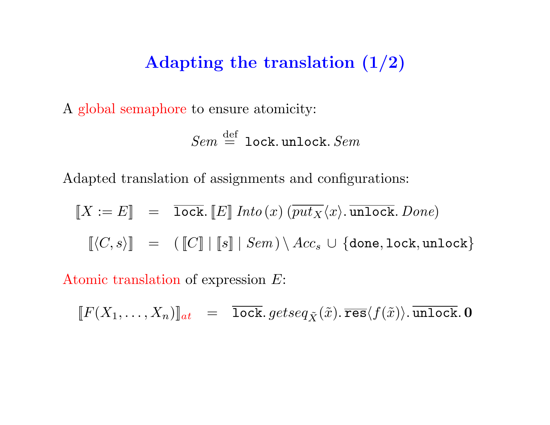# Adapting the translation (1/2)

A global semaphore to ensure atomicity:

$$
\mathit{Sem} \stackrel{\mathrm{def}}{=} \mathtt{lock}.\mathtt{unlock}.\mathit{Sem}
$$

Adapted translation of assignments and configurations:

$$
\begin{array}{rcl}\n[X := E] & = & \overline{\text{lock}}.\n\left[E\right] \text{ Into}\left(x\right) \left(\overline{\text{put}_X}\langle x\rangle, \overline{\text{undock}}.\text{ Done}\right) \\
\left[\langle C, s \rangle\right] & = & \left(\left[C\right] \mid \left[s\right] \mid \text{Sem}\right) \setminus \text{Acc}_s \cup \{\text{done}, \text{lock}, \text{undock}\}\n\end{array}
$$

Atomic translation of expression E:

$$
[\![F(X_1, \ldots, X_n)]\!]_{at} \quad = \quad \overline{\text{lock}}.\,getseq_{\tilde{X}}(\tilde{x}).\, \overline{\text{res}}\langle f(\tilde{x})\rangle.\, \overline{\text{undock}}.\, \mathbf{0}
$$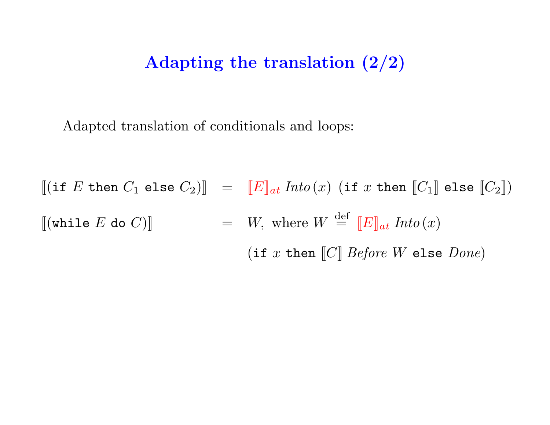### Adapting the translation (2/2)

Adapted translation of conditionals and loops:

 $\begin{array}{lcl} \parallel \!\! ( \texttt{if} \,\, E \,\, \texttt{then} \,\, C_1 \,\, \texttt{else} \,\, C_2 ) \rrbracket & = & \llbracket E \rrbracket_{a t} \,\, \textit{Into} \left( x \right) \,\, ( \texttt{if} \,\, x \,\, \texttt{then} \,\, \llbracket C_1 \rrbracket \,\, \texttt{else} \,\, \llbracket C_2 \rrbracket ) \end{array}$  $[[(\texttt{while } E \texttt{ do } C)]] = W, \text{ where } W \stackrel{\text{def}}{=} [[E]]_{at} \textit{Into}(x)]$ (if x then  $\llbracket C \rrbracket$  *Before W* else *Done*)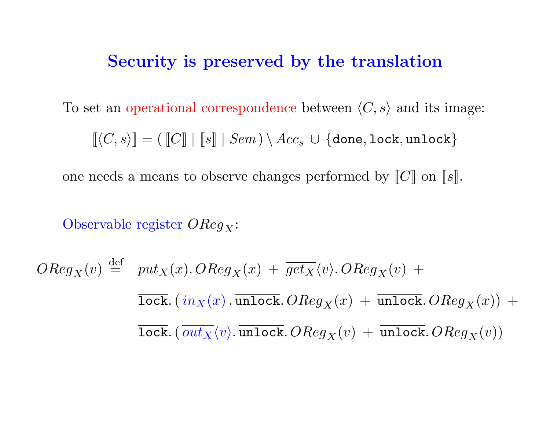#### Security is preserved by the translation

To set an operational correspondence between  $\langle C, s \rangle$  and its image:

 $[[\langle C, s \rangle]] = ([\![C]\!] \ | [s]\!] \ | \ Sem) \setminus Acc_s \ \cup \{done, lock, unlock\}$ 

one needs a means to observe changes performed by  $\llbracket C \rrbracket$  on  $\llbracket s \rrbracket$ .

Observable register  $OReg_X$ :

$$
OReg_X(v) \stackrel{\text{def}}{=} \text{put}_X(x). OReg_X(x) + \overline{\text{get}_X}\langle v \rangle. OReg_X(v) +
$$
  

$$
\overline{\text{lock.}}(\text{in}_X(x).\overline{\text{unlock.}} OReg_X(x) + \overline{\text{unlock.}} OReg_X(x)) +
$$
  

$$
\overline{\text{lock.}}(\overline{\text{out}_X}\langle v \rangle.\overline{\text{unlock.}} OReg_X(v) + \overline{\text{unlock.}} OReg_X(v))
$$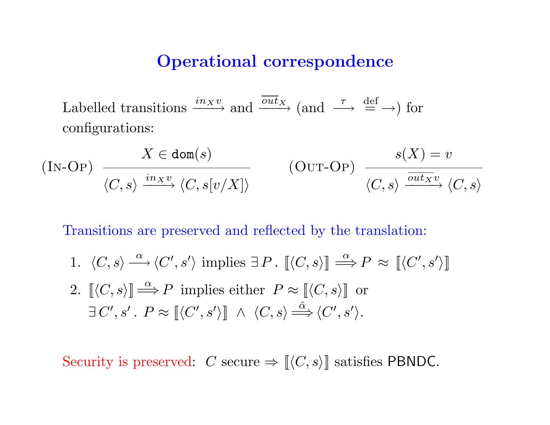#### Operational correspondence

Labelled transitions  $\xrightarrow{inxv}$  and  $\xrightarrow{\overline{out}_X}$  (and  $\xrightarrow{\tau} \xrightarrow{def}$ ) for configurations:

$$
(IN-OP) \xrightarrow{\begin{array}{c} X \in \text{dom}(s) \\ \langle C, s \rangle \xrightarrow{in_X v} \langle C, s[v/X] \rangle \end{array}} (OUT-OP) \xrightarrow{\begin{array}{c} s(X) = v \\ \langle C, s \rangle \xrightarrow{out_X v} \langle C, s \rangle \end{array}}
$$

Transitions are preserved and reflected by the translation:

- 1.  $\langle C, s \rangle \stackrel{\alpha}{\longrightarrow} \langle C', s' \rangle$  implies  $\exists P$ .  $[\langle C, s \rangle] \stackrel{\alpha}{\Longrightarrow} P \approx [\langle C', s' \rangle]$
- 2.  $\langle [C, s \rangle] \stackrel{\alpha}{\Longrightarrow} P$  implies either  $P \approx [\langle C, s \rangle]$  or  $\exists C', s' \.~ P \approx [\langle C', s' \rangle] ~\wedge~ \langle C, s \rangle \stackrel{\hat{\alpha}}{\Longrightarrow} \langle C', s' \rangle.$

Security is preserved:  $C$  secure  $\Rightarrow$   $\llbracket \langle C, s \rangle \rrbracket$  satisfies PBNDC.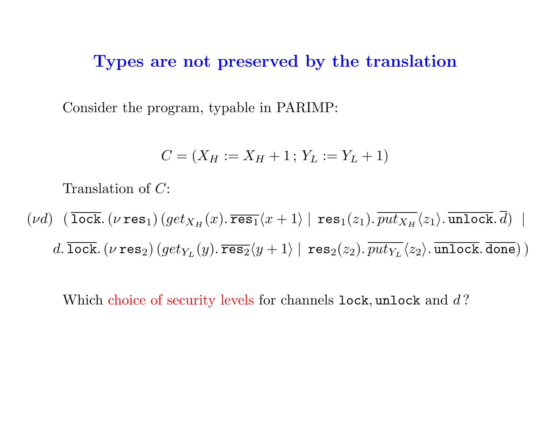#### Types are not preserved by the translation

Consider the program, typable in PARIMP:

$$
C = (X_H := X_H + 1; Y_L := Y_L + 1)
$$

Translation of C:

$$
(\nu d) \left(\overline{\text{lock}}.\left(\nu \text{ res}_1\right)\left(\text{get}_{X_H}(x).\overline{\text{res}_1}\langle x+1\rangle \mid \text{res}_1(z_1).\overline{\text{put}_{X_H}}\langle z_1\rangle.\overline{\text{undock}}.\overline{d}\right) \mid d.\overline{\text{lock}}.\left(\nu \text{ res}_2\right)\left(\text{get}_{Y_L}(y).\overline{\text{res}_2}\langle y+1\rangle \mid \text{res}_2(z_2).\overline{\text{put}_{Y_L}}\langle z_2\rangle.\overline{\text{undock}}.\overline{\text{done}}\right)\right)
$$

Which choice of security levels for channels  $\texttt{lock}, \texttt{uncck}$  and  $d$ ?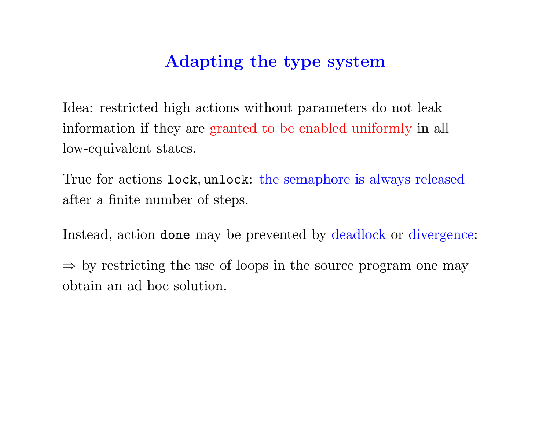# Adapting the type system

Idea: restricted high actions without parameters do not leak information if they are granted to be enabled uniformly in all low-equivalent states.

True for actions lock, unlock: the semaphore is always released after a finite number of steps.

Instead, action done may be prevented by deadlock or divergence:

 $\Rightarrow$  by restricting the use of loops in the source program one may obtain an ad hoc solution.